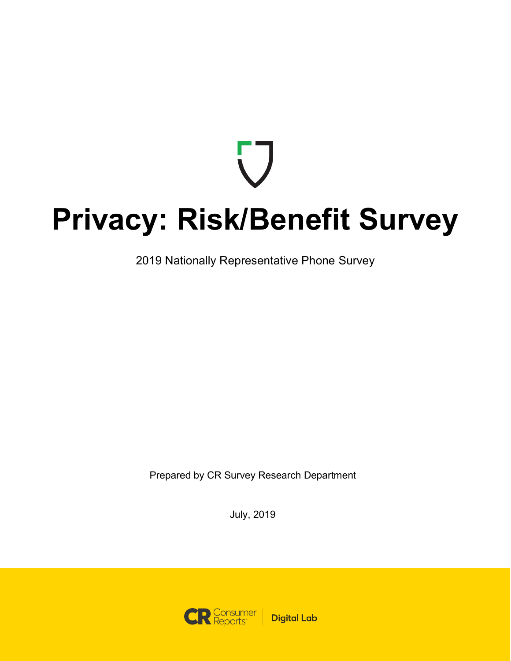# **Privacy: Risk/Benefit Survey**

2019 Nationally Representative Phone Survey

Prepared by CR Survey Research Department

July, 2019

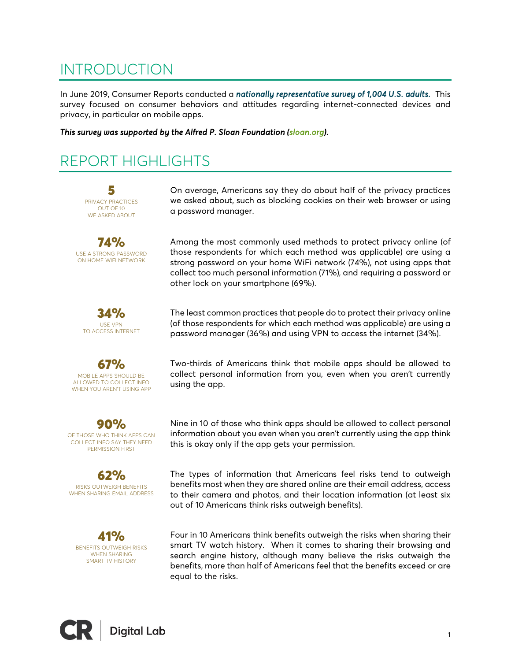### INTRODUCTION

In June 2019, Consumer Reports conducted a *nationally representative survey of 1,004 U.S. adults.* This survey focused on consumer behaviors and attitudes regarding internet-connected devices and privacy, in particular on mobile apps.

*This survey was supported by the Alfred P. Sloan Foundation (sloan.org).* 

### REPORT HIGHLIGHTS

5 PRIVACY PRACTICES OUT OF 10 WE ASKED ABOUT

74% USE A STRONG PASSWORD ON HOME WIFI NETWORK



67% MOBILE APPS SHOULD BE ALLOWED TO COLLECT INFO WHEN YOU AREN'T USING APP

90% OF THOSE WHO THINK APPS CAN COLLECT INFO SAY THEY NEED PERMISSION FIRST

62% RISKS OUTWEIGH BENEFITS WHEN SHARING EMAIL ADDRESS

41% BENEFITS OUTWEIGH RISKS WHEN SHARING SMART TV HISTORY

On average, Americans say they do about half of the privacy practices we asked about, such as blocking cookies on their web browser or using a password manager.

Among the most commonly used methods to protect privacy online (of those respondents for which each method was applicable) are using a strong password on your home WiFi network (74%), not using apps that collect too much personal information (71%), and requiring a password or other lock on your smartphone (69%).

The least common practices that people do to protect their privacy online (of those respondents for which each method was applicable) are using a password manager (36%) and using VPN to access the internet (34%).

Two-thirds of Americans think that mobile apps should be allowed to collect personal information from you, even when you aren't currently using the app.

Nine in 10 of those who think apps should be allowed to collect personal information about you even when you aren't currently using the app think this is okay only if the app gets your permission.

The types of information that Americans feel risks tend to outweigh benefits most when they are shared online are their email address, access to their camera and photos, and their location information (at least six out of 10 Americans think risks outweigh benefits).

Four in 10 Americans think benefits outweigh the risks when sharing their smart TV watch history. When it comes to sharing their browsing and search engine history, although many believe the risks outweigh the benefits, more than half of Americans feel that the benefits exceed or are equal to the risks.

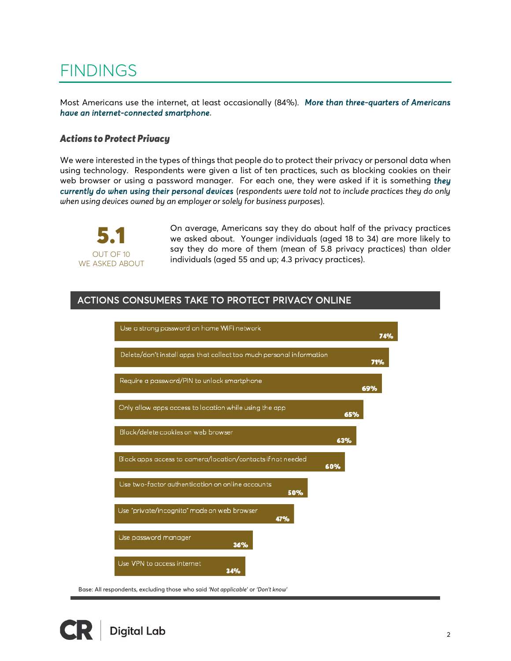### **FINDINGS**

Most Americans use the internet, at least occasionally (84%). *More than three-quarters of Americans have an internet-connected smartphone*.

#### *Actions to Protect Privacy*

We were interested in the types of things that people do to protect their privacy or personal data when using technology. Respondents were given a list of ten practices, such as blocking cookies on their web browser or using a password manager. For each one, they were asked if it is something *they currently do when using their personal devices* (*respondents were told not to include practices they do only when using devices owned by an employer or solely for business purposes*).



On average, Americans say they do about half of the privacy practices we asked about. Younger individuals (aged 18 to 34) are more likely to say they do more of them (mean of 5.8 privacy practices) than older individuals (aged 55 and up; 4.3 privacy practices).

### ACTIONS CONSUMERS TAKE TO PROTECT PRIVACY ONLINE



Base: All respondents, excluding those who said *'Not applicable'* or *'Don't know'*

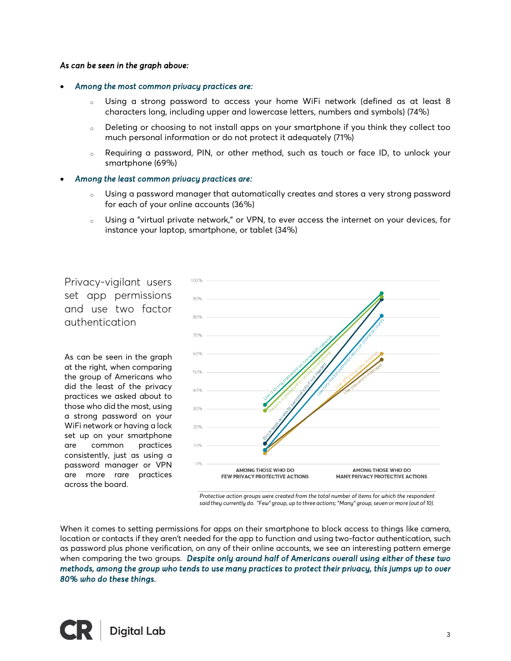#### *As can be seen in the graph above:*

#### • *Among the most common privacy practices are:*

- <sup>o</sup> Using a strong password to access your home WiFi network (defined as at least 8 characters long, including upper and lowercase letters, numbers and symbols) (74%)
- <sup>o</sup> Deleting or choosing to not install apps on your smartphone if you think they collect too much personal information or do not protect it adequately (71%)
- <sup>o</sup> Requiring a password, PIN, or other method, such as touch or face ID, to unlock your smartphone (69%)

#### • *Among the least common privacy practices are:*

- <sup>o</sup> Using a password manager that automatically creates and stores a very strong password for each of your online accounts (36%)
- <sup>o</sup> Using a "virtual private network," or VPN, to ever access the internet on your devices, for instance your laptop, smartphone, or tablet (34%)

Privacy-vigilant users set app permissions and use two factor authentication

As can be seen in the graph at the right, when comparing the group of Americans who did the least of the privacy practices we asked about to those who did the most, using a strong password on your WiFi network or having a lock set up on your smartphone are common practices consistently, just as using a password manager or VPN are more rare practices across the board.



*Protective action groups were created from the total number of items for which the respondent said they currently do. "Few" group, up to three actions; "Many" group, seven or more (out of 10).*

When it comes to setting permissions for apps on their smartphone to block access to things like camera, location or contacts if they aren't needed for the app to function and using two-factor authentication, such as password plus phone verification, on any of their online accounts, we see an interesting pattern emerge when comparing the two groups. *Despite only around half of Americans overall using either of these two methods, among the group who tends to use many practices to protect their privacy, this jumps up to over 80% who do these things.* 

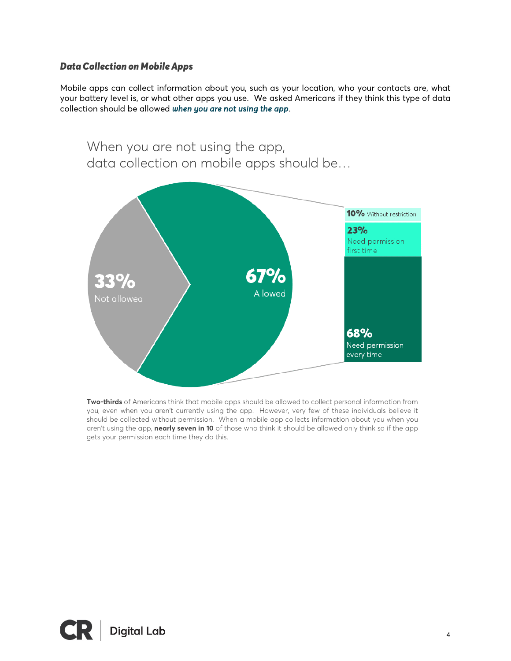#### *DataCollection on Mobile Apps*

Mobile apps can collect information about you, such as your location, who your contacts are, what your battery level is, or what other apps you use. We asked Americans if they think this type of data collection should be allowed *when you are not using the app*.



**Two-thirds** of Americans think that mobile apps should be allowed to collect personal information from you, even when you aren't currently using the app. However, very few of these individuals believe it should be collected without permission. When a mobile app collects information about you when you aren't using the app, **nearly seven in 10** of those who think it should be allowed only think so if the app gets your permission each time they do this.

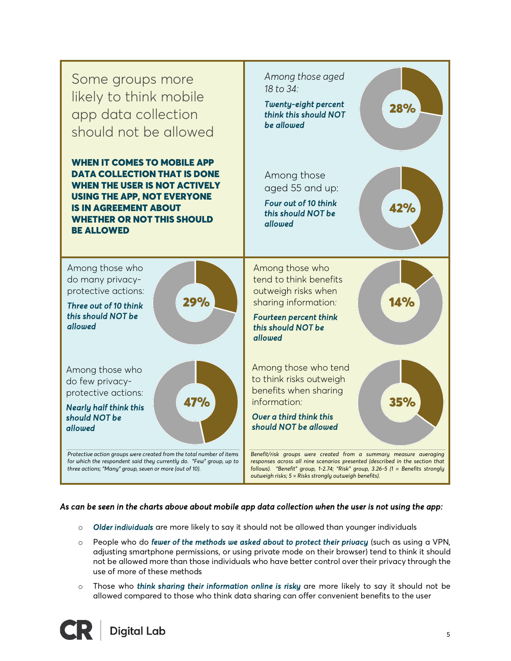

#### *As can be seen in the charts above about mobile app data collection when the user is not using the app:*

- o *Older individuals* are more likely to say it should not be allowed than younger individuals
- o People who do *fewer of the methods we asked about to protect their privacy* (such as using a VPN, adjusting smartphone permissions, or using private mode on their browser) tend to think it should not be allowed more than those individuals who have better control over their privacy through the use of more of these methods
- o Those who *think sharing their information online is risky* are more likely to say it should not be allowed compared to those who think data sharing can offer convenient benefits to the user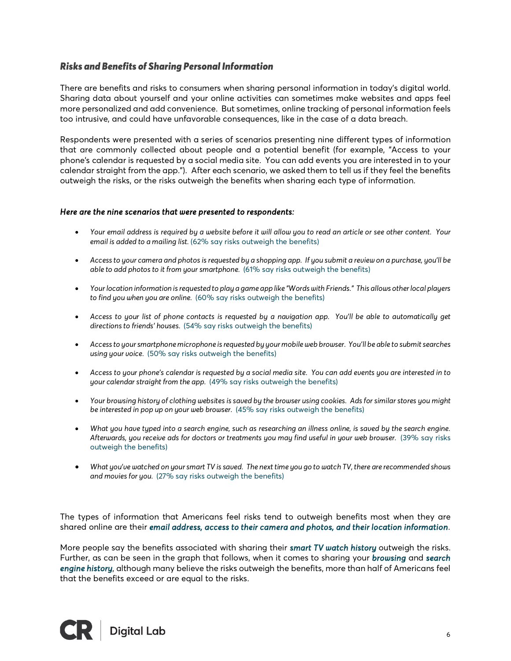#### *Risks and Benefits of Sharing Personal Information*

There are benefits and risks to consumers when sharing personal information in today's digital world. Sharing data about yourself and your online activities can sometimes make websites and apps feel more personalized and add convenience. But sometimes, online tracking of personal information feels too intrusive, and could have unfavorable consequences, like in the case of a data breach.

Respondents were presented with a series of scenarios presenting nine different types of information that are commonly collected about people and a potential benefit (for example, "Access to your phone's calendar is requested by a social media site. You can add events you are interested in to your calendar straight from the app."). After each scenario, we asked them to tell us if they feel the benefits outweigh the risks, or the risks outweigh the benefits when sharing each type of information.

#### *Here are the nine scenarios that were presented to respondents:*

- *Your email address is required by a website before it will allow you to read an article or see other content. Your email is added to a mailing list.* (62% say risks outweigh the benefits)
- *Access to your camera and photos is requested by a shopping app. If you submit a reviewon a purchase, you'll be able to add photos to it from your smartphone.* (61% say risks outweigh the benefits)
- *Your location information is requested to play a game app like "Words with Friends." This allows other local players to find you when you are online.* (60% say risks outweigh the benefits)
- *Access to your list of phone contacts is requested by a navigation app. You'll be able to automatically get directions to friends' houses.* (54% say risks outweigh the benefits)
- *Access to your smartphone microphone is requested by your mobile web browser. You'll be able to submit searches using your voice.* (50% say risks outweigh the benefits)
- *Access to your phone's calendar is requested by a social media site. You can add events you are interested in to your calendar straight from the app.* (49% say risks outweigh the benefits)
- *Your browsing history of clothing websites is saved by the browser using cookies. Ads for similar stores you might be interested in pop up on your web browser.* (45% say risks outweigh the benefits)
- *What you have typed into a search engine, such as researching an illness online, is saved by the search engine. Afterwards, you receive ads for doctors or treatments you may find useful in your web browser.* (39% say risks outweigh the benefits)
- *What you've watched on your smart TV is saved. The next time you go to watch TV, there are recommended shows and movies for you.* (27% say risks outweigh the benefits)

The types of information that Americans feel risks tend to outweigh benefits most when they are shared online are their *email address, access to their camera and photos, and their location information*.

More people say the benefits associated with sharing their *smart TV watch history* outweigh the risks. Further, as can be seen in the graph that follows, when it comes to sharing your *browsing* and *search engine history*, although many believe the risks outweigh the benefits, more than half of Americans feel that the benefits exceed or are equal to the risks.

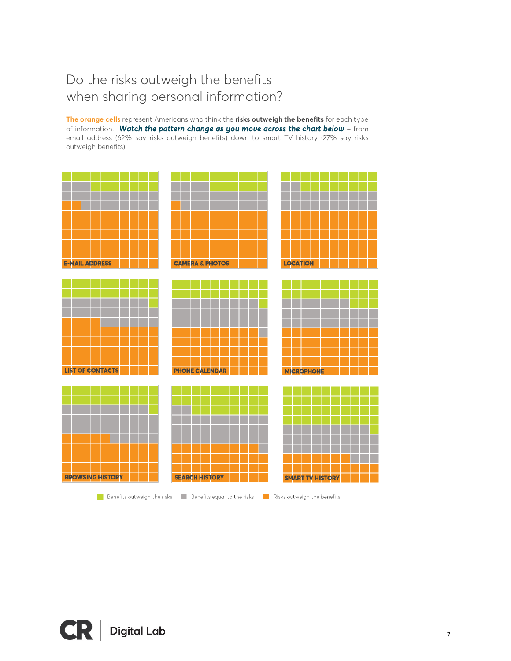### Do the risks outweigh the benefits when sharing personal information?

**The orange cells** represent Americans who think the **risks outweigh the benefits** for each type of information. *Watch the pattern change as you move across the chart below* – from email address (62% say risks outweigh benefits) down to smart TV history (27% say risks outweigh benefits).



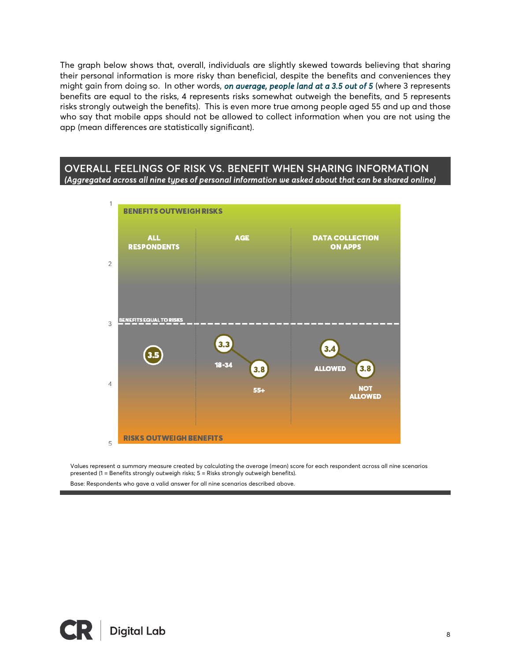The graph below shows that, overall, individuals are slightly skewed towards believing that sharing their personal information is more risky than beneficial, despite the benefits and conveniences they might gain from doing so. In other words, *on average, people land at a 3.5 out of 5* (where 3 represents benefits are equal to the risks, 4 represents risks somewhat outweigh the benefits, and 5 represents risks strongly outweigh the benefits). This is even more true among people aged 55 and up and those who say that mobile apps should not be allowed to collect information when you are not using the app (mean differences are statistically significant).

#### OVERALL FEELINGS OF RISK VS. BENEFIT WHEN SHARING INFORMATION *(Aggregated across all nine types of personal information we asked about that can be shared online)*



Values represent a summary measure created by calculating the average (mean) score for each respondent across all nine scenarios presented (1 = Benefits strongly outweigh risks; 5 = Risks strongly outweigh benefits).

Base: Respondents who gave a valid answer for all nine scenarios described above.



l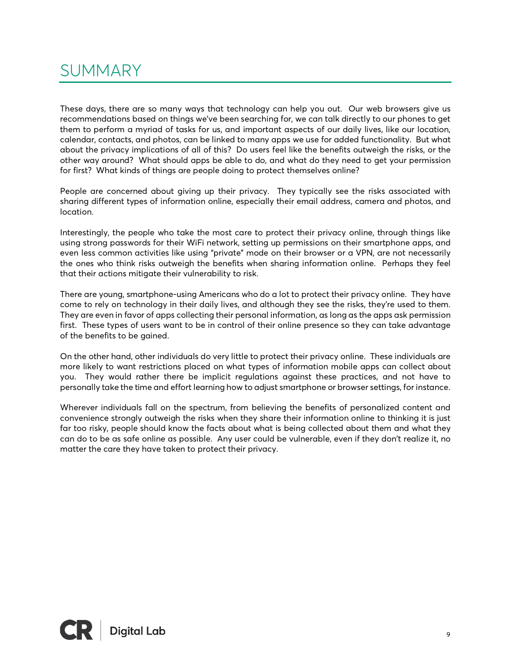### SUMMARY

These days, there are so many ways that technology can help you out. Our web browsers give us recommendations based on things we've been searching for, we can talk directly to our phones to get them to perform a myriad of tasks for us, and important aspects of our daily lives, like our location, calendar, contacts, and photos, can be linked to many apps we use for added functionality. But what about the privacy implications of all of this? Do users feel like the benefits outweigh the risks, or the other way around? What should apps be able to do, and what do they need to get your permission for first? What kinds of things are people doing to protect themselves online?

People are concerned about giving up their privacy. They typically see the risks associated with sharing different types of information online, especially their email address, camera and photos, and location.

Interestingly, the people who take the most care to protect their privacy online, through things like using strong passwords for their WiFi network, setting up permissions on their smartphone apps, and even less common activities like using "private" mode on their browser or a VPN, are not necessarily the ones who think risks outweigh the benefits when sharing information online. Perhaps they feel that their actions mitigate their vulnerability to risk.

There are young, smartphone-using Americans who do a lot to protect their privacy online. They have come to rely on technology in their daily lives, and although they see the risks, they're used to them. They are even in favor of apps collecting their personal information, as long as the apps ask permission first. These types of users want to be in control of their online presence so they can take advantage of the benefits to be gained.

On the other hand, other individuals do very little to protect their privacy online. These individuals are more likely to want restrictions placed on what types of information mobile apps can collect about you. They would rather there be implicit regulations against these practices, and not have to personally take the time and effort learning how to adjust smartphone or browser settings, for instance.

Wherever individuals fall on the spectrum, from believing the benefits of personalized content and convenience strongly outweigh the risks when they share their information online to thinking it is just far too risky, people should know the facts about what is being collected about them and what they can do to be as safe online as possible. Any user could be vulnerable, even if they don't realize it, no matter the care they have taken to protect their privacy.

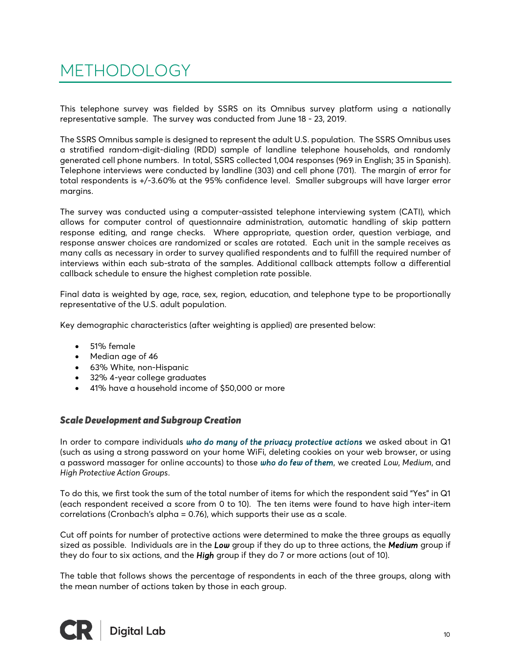## METHODOLOGY

This telephone survey was fielded by SSRS on its Omnibus survey platform using a nationally representative sample. The survey was conducted from June 18 - 23, 2019.

The SSRS Omnibus sample is designed to represent the adult U.S. population. The SSRS Omnibus uses a stratified random-digit-dialing (RDD) sample of landline telephone households, and randomly generated cell phone numbers. In total, SSRS collected 1,004 responses (969 in English; 35 in Spanish). Telephone interviews were conducted by landline (303) and cell phone (701). The margin of error for total respondents is +/-3.60% at the 95% confidence level. Smaller subgroups will have larger error margins.

The survey was conducted using a computer-assisted telephone interviewing system (CATI), which allows for computer control of questionnaire administration, automatic handling of skip pattern response editing, and range checks. Where appropriate, question order, question verbiage, and response answer choices are randomized or scales are rotated. Each unit in the sample receives as many calls as necessary in order to survey qualified respondents and to fulfill the required number of interviews within each sub-strata of the samples. Additional callback attempts follow a differential callback schedule to ensure the highest completion rate possible.

Final data is weighted by age, race, sex, region, education, and telephone type to be proportionally representative of the U.S. adult population.

Key demographic characteristics (after weighting is applied) are presented below:

- 51% female
- Median age of 46
- 63% White, non-Hispanic
- 32% 4-year college graduates
- 41% have a household income of \$50,000 or more

#### *Scale Development and Subgroup Creation*

In order to compare individuals *who do many of the privacy protective actions* we asked about in Q1 (such as using a strong password on your home WiFi, deleting cookies on your web browser, or using a password massager for online accounts) to those *who do few of them*, we created *Low*, *Medium*, and *High Protective Action Groups*.

To do this, we first took the sum of the total number of items for which the respondent said "Yes" in Q1 (each respondent received a score from 0 to 10). The ten items were found to have high inter-item correlations (Cronbach's alpha = 0.76), which supports their use as a scale.

Cut off points for number of protective actions were determined to make the three groups as equally sized as possible. Individuals are in the *Low* group if they do up to three actions, the *Medium* group if they do four to six actions, and the *High* group if they do 7 or more actions (out of 10).

The table that follows shows the percentage of respondents in each of the three groups, along with the mean number of actions taken by those in each group.